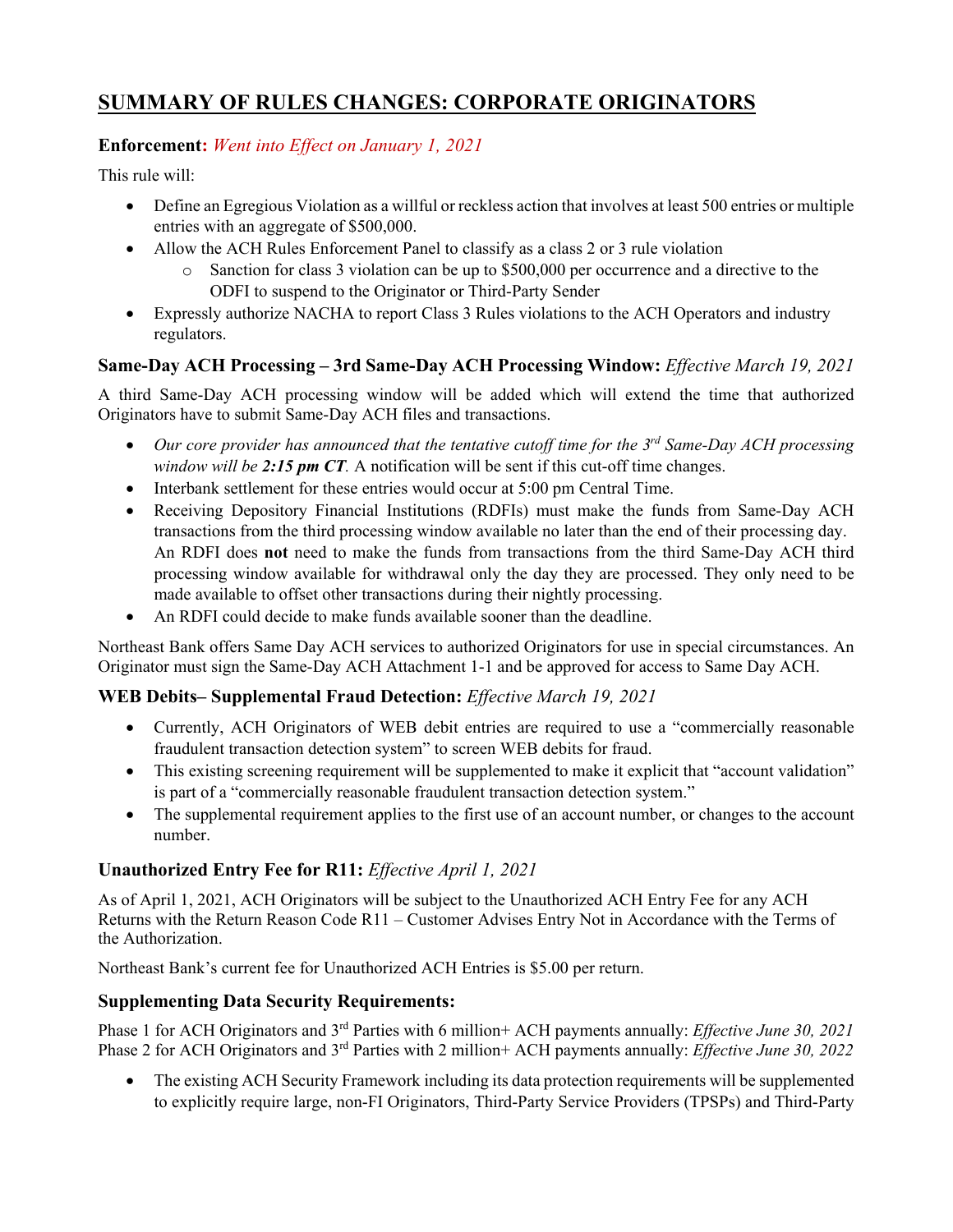# **SUMMARY OF RULES CHANGES: CORPORATE ORIGINATORS**

## **Enforcement:** *Went into Effect on January 1, 2021*

This rule will:

- Define an Egregious Violation as a willful or reckless action that involves at least 500 entries or multiple entries with an aggregate of \$500,000.
- Allow the ACH Rules Enforcement Panel to classify as a class 2 or 3 rule violation
	- o Sanction for class 3 violation can be up to \$500,000 per occurrence and a directive to the ODFI to suspend to the Originator or Third-Party Sender
- Expressly authorize NACHA to report Class 3 Rules violations to the ACH Operators and industry regulators.

## **Same-Day ACH Processing – 3rd Same-Day ACH Processing Window:** *Effective March 19, 2021*

A third Same-Day ACH processing window will be added which will extend the time that authorized Originators have to submit Same-Day ACH files and transactions.

- *Our core provider has announced that the tentative cutoff time for the 3rd Same-Day ACH processing window will be 2:15 pm CT.* A notification will be sent if this cut-off time changes.
- Interbank settlement for these entries would occur at 5:00 pm Central Time.
- Receiving Depository Financial Institutions (RDFIs) must make the funds from Same-Day ACH transactions from the third processing window available no later than the end of their processing day. An RDFI does **not** need to make the funds from transactions from the third Same-Day ACH third processing window available for withdrawal only the day they are processed. They only need to be made available to offset other transactions during their nightly processing.
- An RDFI could decide to make funds available sooner than the deadline.

Northeast Bank offers Same Day ACH services to authorized Originators for use in special circumstances. An Originator must sign the Same-Day ACH Attachment 1-1 and be approved for access to Same Day ACH.

#### **WEB Debits– Supplemental Fraud Detection:** *Effective March 19, 2021*

- Currently, ACH Originators of WEB debit entries are required to use a "commercially reasonable fraudulent transaction detection system" to screen WEB debits for fraud.
- This existing screening requirement will be supplemented to make it explicit that "account validation" is part of a "commercially reasonable fraudulent transaction detection system."
- The supplemental requirement applies to the first use of an account number, or changes to the account number.

#### **Unauthorized Entry Fee for R11:** *Effective April 1, 2021*

As of April 1, 2021, ACH Originators will be subject to the Unauthorized ACH Entry Fee for any ACH Returns with the Return Reason Code R11 – Customer Advises Entry Not in Accordance with the Terms of the Authorization.

Northeast Bank's current fee for Unauthorized ACH Entries is \$5.00 per return.

#### **Supplementing Data Security Requirements:**

Phase 1 for ACH Originators and 3rd Parties with 6 million+ ACH payments annually: *Effective June 30, 2021* Phase 2 for ACH Originators and 3rd Parties with 2 million+ ACH payments annually: *Effective June 30, 2022*

• The existing ACH Security Framework including its data protection requirements will be supplemented to explicitly require large, non-FI Originators, Third-Party Service Providers (TPSPs) and Third-Party